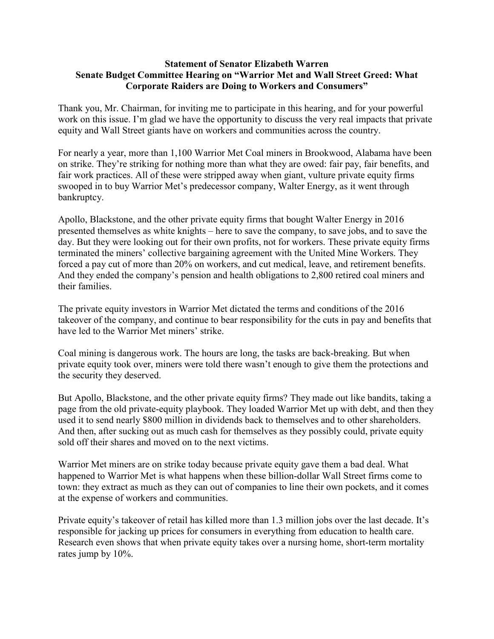## **Statement of Senator Elizabeth Warren Senate Budget Committee Hearing on "Warrior Met and Wall Street Greed: What Corporate Raiders are Doing to Workers and Consumers"**

Thank you, Mr. Chairman, for inviting me to participate in this hearing, and for your powerful work on this issue. I'm glad we have the opportunity to discuss the very real impacts that private equity and Wall Street giants have on workers and communities across the country.

For nearly a year, more than 1,100 Warrior Met Coal miners in Brookwood, Alabama have been on strike. They're striking for nothing more than what they are owed: fair pay, fair benefits, and fair work practices. All of these were stripped away when giant, vulture private equity firms swooped in to buy Warrior Met's predecessor company, Walter Energy, as it went through bankruptcy.

Apollo, Blackstone, and the other private equity firms that bought Walter Energy in 2016 presented themselves as white knights – here to save the company, to save jobs, and to save the day. But they were looking out for their own profits, not for workers. These private equity firms terminated the miners' collective bargaining agreement with the United Mine Workers. They forced a pay cut of more than 20% on workers, and cut medical, leave, and retirement benefits. And they ended the company's pension and health obligations to 2,800 retired coal miners and their families.

The private equity investors in Warrior Met dictated the terms and conditions of the 2016 takeover of the company, and continue to bear responsibility for the cuts in pay and benefits that have led to the Warrior Met miners' strike.

Coal mining is dangerous work. The hours are long, the tasks are back-breaking. But when private equity took over, miners were told there wasn't enough to give them the protections and the security they deserved.

But Apollo, Blackstone, and the other private equity firms? They made out like bandits, taking a page from the old private-equity playbook. They loaded Warrior Met up with debt, and then they used it to send nearly \$800 million in dividends back to themselves and to other shareholders. And then, after sucking out as much cash for themselves as they possibly could, private equity sold off their shares and moved on to the next victims.

Warrior Met miners are on strike today because private equity gave them a bad deal. What happened to Warrior Met is what happens when these billion-dollar Wall Street firms come to town: they extract as much as they can out of companies to line their own pockets, and it comes at the expense of workers and communities.

Private equity's takeover of retail has killed more than 1.3 million jobs over the last decade. It's responsible for jacking up prices for consumers in everything from education to health care. Research even shows that when private equity takes over a nursing home, short-term mortality rates jump by 10%.